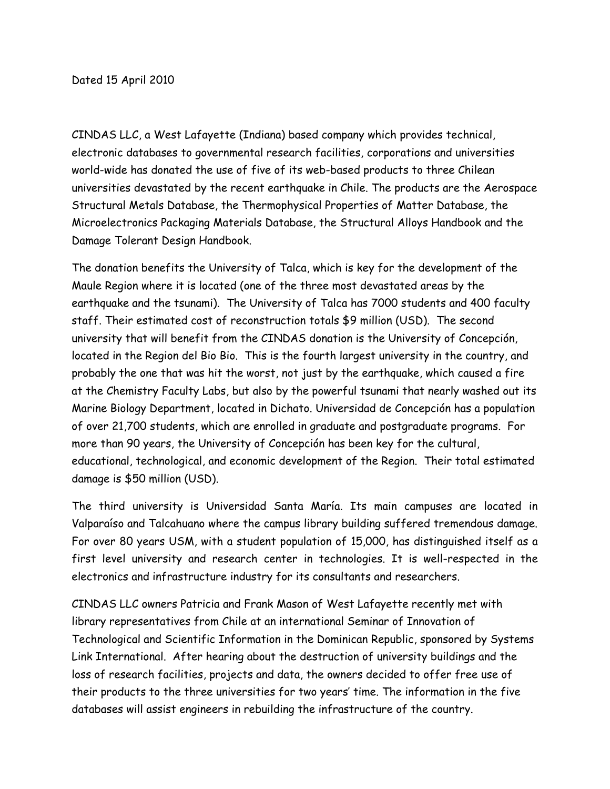CINDAS LLC, a West Lafayette (Indiana) based company which provides technical, electronic databases to governmental research facilities, corporations and universities world-wide has donated the use of five of its web-based products to three Chilean universities devastated by the recent earthquake in Chile. The products are the Aerospace Structural Metals Database, the Thermophysical Properties of Matter Database, the Microelectronics Packaging Materials Database, the Structural Alloys Handbook and the Damage Tolerant Design Handbook.

The donation benefits the University of Talca, which is key for the development of the Maule Region where it is located (one of the three most devastated areas by the earthquake and the tsunami). The University of Talca has 7000 students and 400 faculty staff. Their estimated cost of reconstruction totals \$9 million (USD). The second university that will benefit from the CINDAS donation is the University of Concepción, located in the Region del Bio Bio. This is the fourth largest university in the country, and probably the one that was hit the worst, not just by the earthquake, which caused a fire at the Chemistry Faculty Labs, but also by the powerful tsunami that nearly washed out its Marine Biology Department, located in Dichato. Universidad de Concepción has a population of over 21,700 students, which are enrolled in graduate and postgraduate programs. For more than 90 years, the University of Concepción has been key for the cultural, educational, technological, and economic development of the Region. Their total estimated damage is \$50 million (USD).

The third university is Universidad Santa María. Its main campuses are located in Valparaíso and Talcahuano where the campus library building suffered tremendous damage. For over 80 years USM, with a student population of 15,000, has distinguished itself as a first level university and research center in technologies. It is well-respected in the electronics and infrastructure industry for its consultants and researchers.

CINDAS LLC owners Patricia and Frank Mason of West Lafayette recently met with library representatives from Chile at an international Seminar of Innovation of Technological and Scientific Information in the Dominican Republic, sponsored by Systems Link International. After hearing about the destruction of university buildings and the loss of research facilities, projects and data, the owners decided to offer free use of their products to the three universities for two years' time. The information in the five databases will assist engineers in rebuilding the infrastructure of the country.